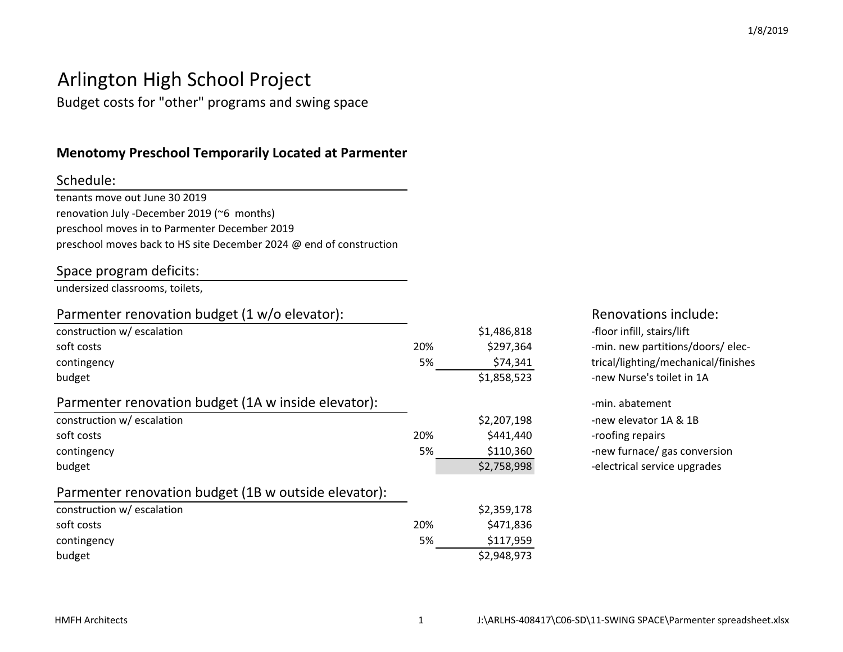#### 1/8/2019

# Arlington High School Project

Budget costs for "other" programs and swing space

### **Menotomy Preschool Temporarily Located at Parmenter**

### Schedule:

tenants move out June 30 2019 renovation July -December 2019 (~6 months)preschool moves in to Parmenter December 2019preschool moves back to HS site December 2024 @ end of construction

### Space program deficits:

undersized classrooms, toilets,

### Parmenter renovation budget (1 w/o elevator):

| construction w/ escalation                           |     | \$1,486,818 |
|------------------------------------------------------|-----|-------------|
| soft costs                                           | 20% | \$297,364   |
| contingency                                          | 5%  | \$74,341    |
| budget                                               |     | \$1,858,523 |
| Parmenter renovation budget (1A w inside elevator):  |     |             |
| construction w/ escalation                           |     | \$2,207,198 |
| soft costs                                           | 20% | \$441,440   |
| contingency                                          | 5%  | \$110,360   |
| budget                                               |     | \$2,758,998 |
| Parmenter renovation budget (1B w outside elevator): |     |             |
| construction w/ escalation                           |     | \$2,359,178 |
| soft costs                                           | 20% | \$471,836   |
| contingency                                          | 5%  | \$117,959   |
| budget                                               |     | \$2,948,973 |
|                                                      |     |             |

### Renovations include:

8 -floor infill, stairs/lift<br>4 min. new partitions/ 4 -min. new partitions/doors/ elec-<br>1 trical/lighting/mechanical/finishe 1<br>3<br>3<br>2 - Thew Nurse's toilet in 1A -new Nurse's toilet in 1A

 -min. abatement 8 -new elevator 1A & 1B<br>0 -roofing repairs \$441,440 -roofing repairs -new furnace/ gas conversion -electrical service upgrades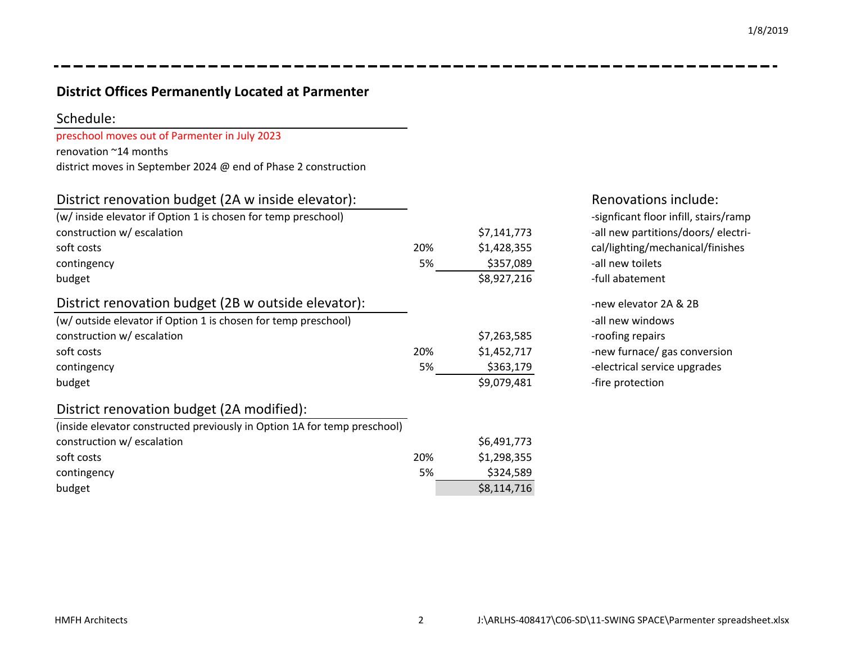### **District Offices Permanently Located at Parmenter**

#### Schedule:

preschool moves out of Parmenter in July 2023

renovation ~14 months

district moves in September 2024 @ end of Phase 2 construction

### District renovation budget (2A w inside elevator):

| (w/ inside elevator if Option 1 is chosen for temp preschool)            |     |             | -signficant floor infill, stairs/ramp |
|--------------------------------------------------------------------------|-----|-------------|---------------------------------------|
| construction w/ escalation                                               |     | \$7,141,773 | -all new partitions/doors/ electri-   |
| soft costs                                                               | 20% | \$1,428,355 | cal/lighting/mechanical/finishes      |
| contingency                                                              | 5%  | \$357,089   | -all new toilets                      |
| budget                                                                   |     | \$8,927,216 | -full abatement                       |
| District renovation budget (2B w outside elevator):                      |     |             | -new elevator 2A & 2B                 |
| (w/ outside elevator if Option 1 is chosen for temp preschool)           |     |             | -all new windows                      |
| construction w/ escalation                                               |     | \$7,263,585 | -roofing repairs                      |
| soft costs                                                               | 20% | \$1,452,717 | -new furnace/ gas conversion          |
| contingency                                                              | 5%  | \$363,179   | -electrical service upgrades          |
| budget                                                                   |     | \$9,079,481 | -fire protection                      |
| District renovation budget (2A modified):                                |     |             |                                       |
| (inside elevator constructed previously in Option 1A for temp preschool) |     |             |                                       |
| construction w/ escalation                                               |     | \$6,491,773 |                                       |
| soft costs                                                               | 20% | \$1,298,355 |                                       |
|                                                                          |     |             |                                       |

 $\mathsf{y}$  5%

t  $\frac{1}{2}$  \$8,114,716

## Renovations include:

contingency

budget

5% \$324,589<br>\$8,114,716